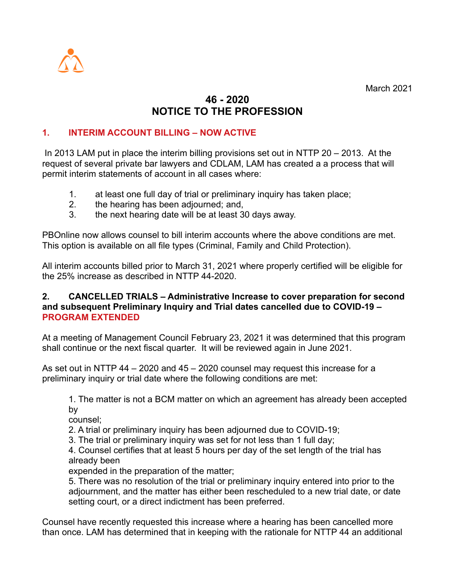

March 2021

## **46 - 2020 NOTICE TO THE PROFESSION**

## **1. INTERIM ACCOUNT BILLING – NOW ACTIVE**

 In 2013 LAM put in place the interim billing provisions set out in NTTP 20 – 2013. At the request of several private bar lawyers and CDLAM, LAM has created a a process that will permit interim statements of account in all cases where:

- 1. at least one full day of trial or preliminary inquiry has taken place;
- 2. the hearing has been adjourned; and,
- 3. the next hearing date will be at least 30 days away.

PBOnline now allows counsel to bill interim accounts where the above conditions are met. This option is available on all file types (Criminal, Family and Child Protection).

All interim accounts billed prior to March 31, 2021 where properly certified will be eligible for the 25% increase as described in NTTP 44-2020.

## **2. CANCELLED TRIALS – Administrative Increase to cover preparation for second and subsequent Preliminary Inquiry and Trial dates cancelled due to COVID-19 – PROGRAM EXTENDED**

At a meeting of Management Council February 23, 2021 it was determined that this program shall continue or the next fiscal quarter. It will be reviewed again in June 2021.

As set out in NTTP 44 – 2020 and 45 – 2020 counsel may request this increase for a preliminary inquiry or trial date where the following conditions are met:

1. The matter is not a BCM matter on which an agreement has already been accepted by

counsel;

2. A trial or preliminary inquiry has been adjourned due to COVID-19;

3. The trial or preliminary inquiry was set for not less than 1 full day;

4. Counsel certifies that at least 5 hours per day of the set length of the trial has already been

expended in the preparation of the matter;

5. There was no resolution of the trial or preliminary inquiry entered into prior to the adjournment, and the matter has either been rescheduled to a new trial date, or date setting court, or a direct indictment has been preferred.

Counsel have recently requested this increase where a hearing has been cancelled more than once. LAM has determined that in keeping with the rationale for NTTP 44 an additional